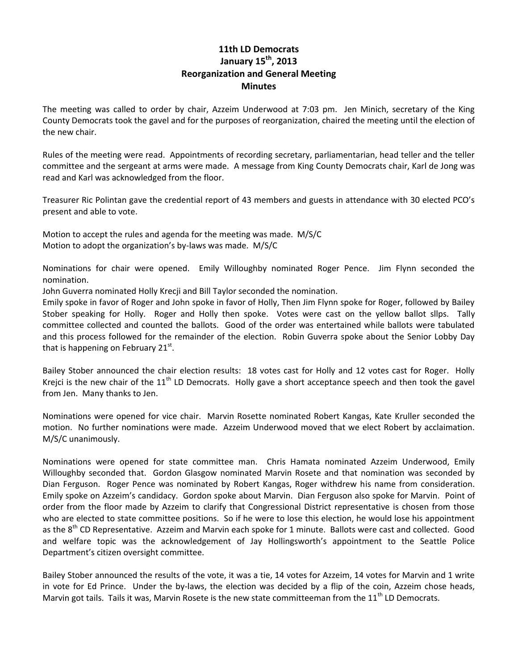## **11th LD Democrats January 15th, 2013 Reorganization and General Meeting Minutes**

The meeting was called to order by chair, Azzeim Underwood at 7:03 pm. Jen Minich, secretary of the King County Democrats took the gavel and for the purposes of reorganization, chaired the meeting until the election of the new chair.

Rules of the meeting were read. Appointments of recording secretary, parliamentarian, head teller and the teller committee and the sergeant at arms were made. A message from King County Democrats chair, Karl de Jong was read and Karl was acknowledged from the floor.

Treasurer Ric Polintan gave the credential report of 43 members and guests in attendance with 30 elected PCO's present and able to vote.

Motion to accept the rules and agenda for the meeting was made. M/S/C Motion to adopt the organization's by-laws was made. M/S/C

Nominations for chair were opened. Emily Willoughby nominated Roger Pence. Jim Flynn seconded the nomination.

John Guverra nominated Holly Krecji and Bill Taylor seconded the nomination.

Emily spoke in favor of Roger and John spoke in favor of Holly, Then Jim Flynn spoke for Roger, followed by Bailey Stober speaking for Holly. Roger and Holly then spoke. Votes were cast on the yellow ballot sllps. Tally committee collected and counted the ballots. Good of the order was entertained while ballots were tabulated and this process followed for the remainder of the election. Robin Guverra spoke about the Senior Lobby Day that is happening on February 21st.

Bailey Stober announced the chair election results: 18 votes cast for Holly and 12 votes cast for Roger. Holly Krejci is the new chair of the  $11<sup>th</sup>$  LD Democrats. Holly gave a short acceptance speech and then took the gavel from Jen. Many thanks to Jen.

Nominations were opened for vice chair. Marvin Rosette nominated Robert Kangas, Kate Kruller seconded the motion. No further nominations were made. Azzeim Underwood moved that we elect Robert by acclaimation. M/S/C unanimously.

Nominations were opened for state committee man. Chris Hamata nominated Azzeim Underwood, Emily Willoughby seconded that. Gordon Glasgow nominated Marvin Rosete and that nomination was seconded by Dian Ferguson. Roger Pence was nominated by Robert Kangas, Roger withdrew his name from consideration. Emily spoke on Azzeim's candidacy. Gordon spoke about Marvin. Dian Ferguson also spoke for Marvin. Point of order from the floor made by Azzeim to clarify that Congressional District representative is chosen from those who are elected to state committee positions. So if he were to lose this election, he would lose his appointment as the 8<sup>th</sup> CD Representative. Azzeim and Marvin each spoke for 1 minute. Ballots were cast and collected. Good and welfare topic was the acknowledgement of Jay Hollingsworth's appointment to the Seattle Police Department's citizen oversight committee.

Bailey Stober announced the results of the vote, it was a tie, 14 votes for Azzeim, 14 votes for Marvin and 1 write in vote for Ed Prince. Under the by-laws, the election was decided by a flip of the coin, Azzeim chose heads, Marvin got tails. Tails it was, Marvin Rosete is the new state committeeman from the 11<sup>th</sup> LD Democrats.